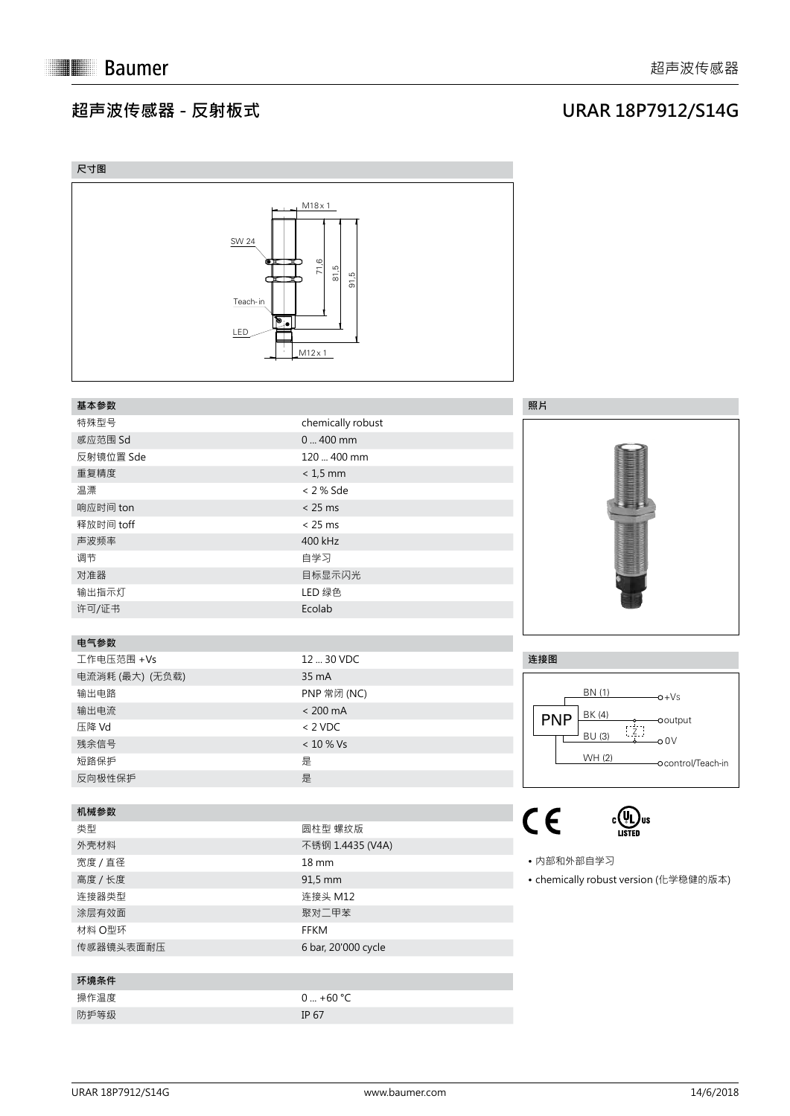## **超声波传感器 - 反射板式**



| 尺寸图                                                                         |                                                                          |                                           |
|-----------------------------------------------------------------------------|--------------------------------------------------------------------------|-------------------------------------------|
| <b>SW 24</b><br>$\bullet$ $\bullet$<br>œ<br>Teach-in<br>$\mathbb{F}$<br>LED | $M18 \times 1$<br>71,6<br>81,5<br>ഥ്<br>$\overline{5}$<br>$M12 \times 1$ |                                           |
| 基本参数                                                                        |                                                                          | 照片                                        |
| 特殊型号                                                                        | chemically robust                                                        |                                           |
| 感应范围 Sd                                                                     | $0400$ mm                                                                |                                           |
| 反射镜位置 Sde                                                                   | 120  400 mm                                                              |                                           |
| 重复精度                                                                        | $< 1.5$ mm                                                               |                                           |
| 温漂                                                                          | < 2 % Sde                                                                | <b>Controllection</b>                     |
| 响应时间 ton                                                                    | < 25 ms                                                                  |                                           |
| 释放时间 toff                                                                   | < 25 ms                                                                  |                                           |
| 声波频率                                                                        | 400 kHz                                                                  |                                           |
| 调节                                                                          | 自学习                                                                      |                                           |
| 对准器                                                                         | 目标显示闪光                                                                   |                                           |
| 输出指示灯                                                                       | LED 绿色                                                                   |                                           |
|                                                                             | Ecolab                                                                   |                                           |
| 许可/证书                                                                       |                                                                          |                                           |
| 电气参数                                                                        |                                                                          |                                           |
| 工作电压范围 +Vs                                                                  | 12  30 VDC                                                               | 连接图                                       |
| 电流消耗 (最大) (无负载)                                                             | 35 mA                                                                    |                                           |
| 输出电路                                                                        | PNP 常闭 (NC)                                                              | BN (1)<br>$-0+Vs$                         |
| 输出电流                                                                        | $< 200 \text{ mA}$                                                       | BK (4)                                    |
| 压降 Vd                                                                       | $< 2$ VDC                                                                | <b>PNP</b><br>Ooutput<br>$\overline{z}$ . |
| 残余信号                                                                        | $< 10 %$ Vs                                                              | <b>BU (3)</b><br>$-00V$                   |
| 短路保护                                                                        | 是                                                                        | WH (2)<br>-Ocontrol/Teach-in              |
| 反向极性保护                                                                      | 是                                                                        |                                           |
|                                                                             |                                                                          |                                           |
| 机械参数                                                                        |                                                                          |                                           |
| 类型                                                                          | 圆柱型 螺纹版                                                                  | $C \in$<br>LISTED                         |
| 外壳材料                                                                        | 不锈钢 1.4435 (V4A)                                                         |                                           |
| 宽度 / 直径                                                                     | $18 \, \text{mm}$                                                        | • 内部和外部自学习                                |
| 高度 / 长度                                                                     | 91,5 mm                                                                  | • chemically robust version (化学稳健的版本)     |
| 连接器类型                                                                       | 连接头 M12                                                                  |                                           |
| 涂层有效面                                                                       | 聚对二甲苯                                                                    |                                           |
| 材料 O型环                                                                      | FFKM                                                                     |                                           |
| 传感器镜头表面耐压                                                                   | 6 bar, 20'000 cycle                                                      |                                           |
|                                                                             |                                                                          |                                           |
| 环境条件                                                                        |                                                                          |                                           |
| 操作温度                                                                        | $0  +60 °C$                                                              |                                           |
| 防护等级                                                                        | IP 67                                                                    |                                           |